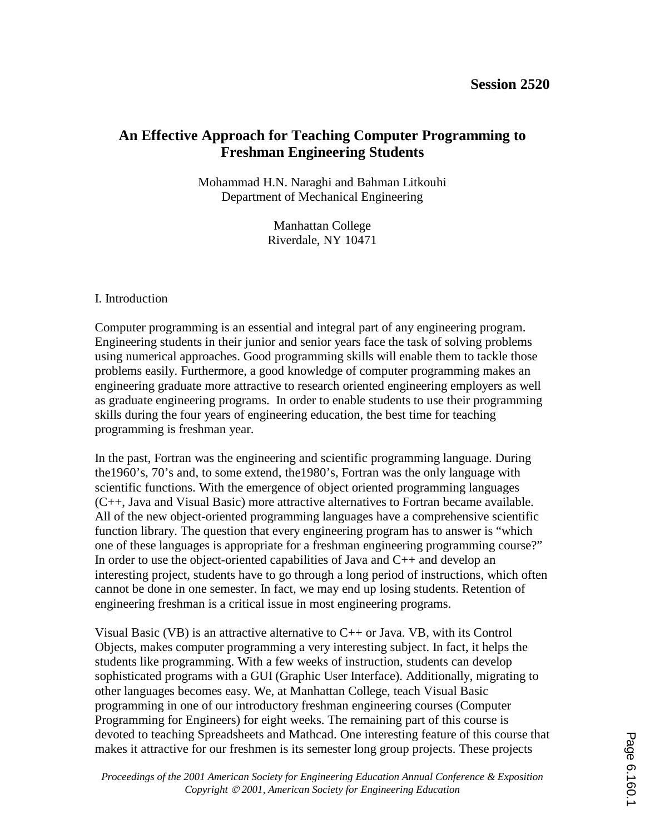# **An Effective Approach for Teaching Computer Programming to Freshman Engineering Students**

Mohammad H.N. Naraghi and Bahman Litkouhi Department of Mechanical Engineering

> Manhattan College Riverdale, NY 10471

### I. Introduction

Computer programming is an essential and integral part of any engineering program. Engineering students in their junior and senior years face the task of solving problems using numerical approaches. Good programming skills will enable them to tackle those problems easily. Furthermore, a good knowledge of computer programming makes an engineering graduate more attractive to research oriented engineering employers as well as graduate engineering programs. In order to enable students to use their programming skills during the four years of engineering education, the best time for teaching programming is freshman year.

In the past, Fortran was the engineering and scientific programming language. During the1960's, 70's and, to some extend, the1980's, Fortran was the only language with scientific functions. With the emergence of object oriented programming languages (C++, Java and Visual Basic) more attractive alternatives to Fortran became available. All of the new object-oriented programming languages have a comprehensive scientific function library. The question that every engineering program has to answer is "which one of these languages is appropriate for a freshman engineering programming course?" In order to use the object-oriented capabilities of Java and  $C_{++}$  and develop an interesting project, students have to go through a long period of instructions, which often cannot be done in one semester. In fact, we may end up losing students. Retention of engineering freshman is a critical issue in most engineering programs.

Visual Basic (VB) is an attractive alternative to  $C_{++}$  or Java. VB, with its Control Objects, makes computer programming a very interesting subject. In fact, it helps the students like programming. With a few weeks of instruction, students can develop sophisticated programs with a GUI (Graphic User Interface). Additionally, migrating to other languages becomes easy. We, at Manhattan College, teach Visual Basic programming in one of our introductory freshman engineering courses (Computer Programming for Engineers) for eight weeks. The remaining part of this course is devoted to teaching Spreadsheets and Mathcad. One interesting feature of this course that makes it attractive for our freshmen is its semester long group projects. These projects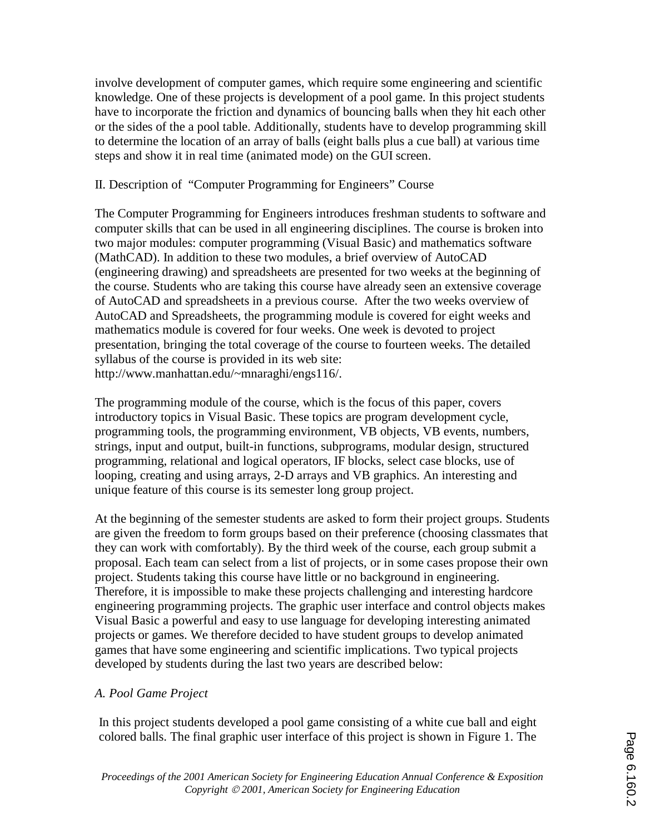involve development of computer games, which require some engineering and scientific knowledge. One of these projects is development of a pool game. In this project students have to incorporate the friction and dynamics of bouncing balls when they hit each other or the sides of the a pool table. Additionally, students have to develop programming skill to determine the location of an array of balls (eight balls plus a cue ball) at various time steps and show it in real time (animated mode) on the GUI screen.

#### II. Description of "Computer Programming for Engineers" Course

The Computer Programming for Engineers introduces freshman students to software and computer skills that can be used in all engineering disciplines. The course is broken into two major modules: computer programming (Visual Basic) and mathematics software (MathCAD). In addition to these two modules, a brief overview of AutoCAD (engineering drawing) and spreadsheets are presented for two weeks at the beginning of the course. Students who are taking this course have already seen an extensive coverage of AutoCAD and spreadsheets in a previous course. After the two weeks overview of AutoCAD and Spreadsheets, the programming module is covered for eight weeks and mathematics module is covered for four weeks. One week is devoted to project presentation, bringing the total coverage of the course to fourteen weeks. The detailed syllabus of the course is provided in its web site: http://www.manhattan.edu/~mnaraghi/engs116/.

The programming module of the course, which is the focus of this paper, covers introductory topics in Visual Basic. These topics are program development cycle, programming tools, the programming environment, VB objects, VB events, numbers, strings, input and output, built-in functions, subprograms, modular design, structured programming, relational and logical operators, IF blocks, select case blocks, use of looping, creating and using arrays, 2-D arrays and VB graphics. An interesting and unique feature of this course is its semester long group project.

At the beginning of the semester students are asked to form their project groups. Students are given the freedom to form groups based on their preference (choosing classmates that they can work with comfortably). By the third week of the course, each group submit a proposal. Each team can select from a list of projects, or in some cases propose their own project. Students taking this course have little or no background in engineering. Therefore, it is impossible to make these projects challenging and interesting hardcore engineering programming projects. The graphic user interface and control objects makes Visual Basic a powerful and easy to use language for developing interesting animated projects or games. We therefore decided to have student groups to develop animated games that have some engineering and scientific implications. Two typical projects developed by students during the last two years are described below:

#### *A. Pool Game Project*

In this project students developed a pool game consisting of a white cue ball and eight colored balls. The final graphic user interface of this project is shown in Figure 1. The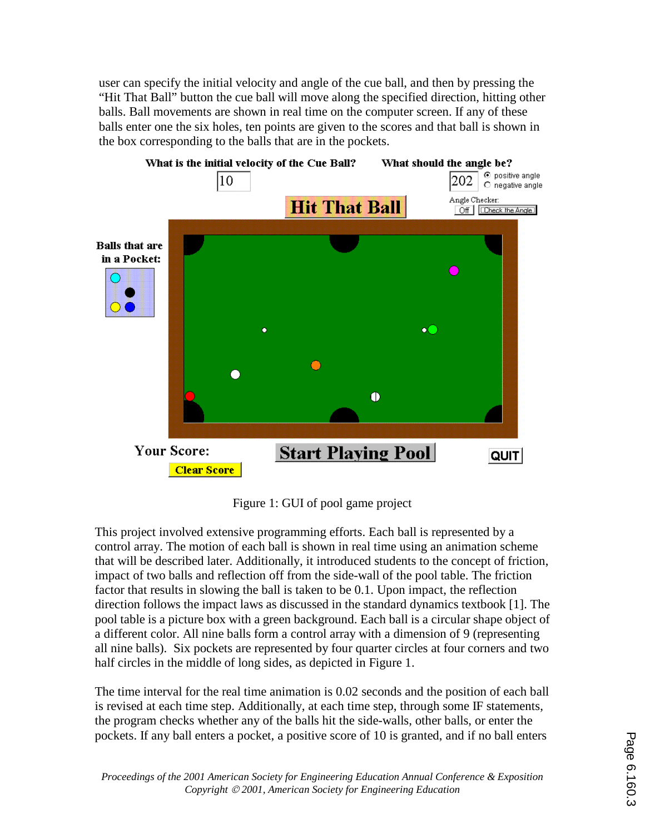user can specify the initial velocity and angle of the cue ball, and then by pressing the "Hit That Ball" button the cue ball will move along the specified direction, hitting other balls. Ball movements are shown in real time on the computer screen. If any of these balls enter one the six holes, ten points are given to the scores and that ball is shown in the box corresponding to the balls that are in the pockets.



Figure 1: GUI of pool game project

This project involved extensive programming efforts. Each ball is represented by a control array. The motion of each ball is shown in real time using an animation scheme that will be described later. Additionally, it introduced students to the concept of friction, impact of two balls and reflection off from the side-wall of the pool table. The friction factor that results in slowing the ball is taken to be 0.1. Upon impact, the reflection direction follows the impact laws as discussed in the standard dynamics textbook [1]. The pool table is a picture box with a green background. Each ball is a circular shape object of a different color. All nine balls form a control array with a dimension of 9 (representing all nine balls). Six pockets are represented by four quarter circles at four corners and two half circles in the middle of long sides, as depicted in Figure 1.

The time interval for the real time animation is 0.02 seconds and the position of each ball is revised at each time step. Additionally, at each time step, through some IF statements, the program checks whether any of the balls hit the side-walls, other balls, or enter the pockets. If any ball enters a pocket, a positive score of 10 is granted, and if no ball enters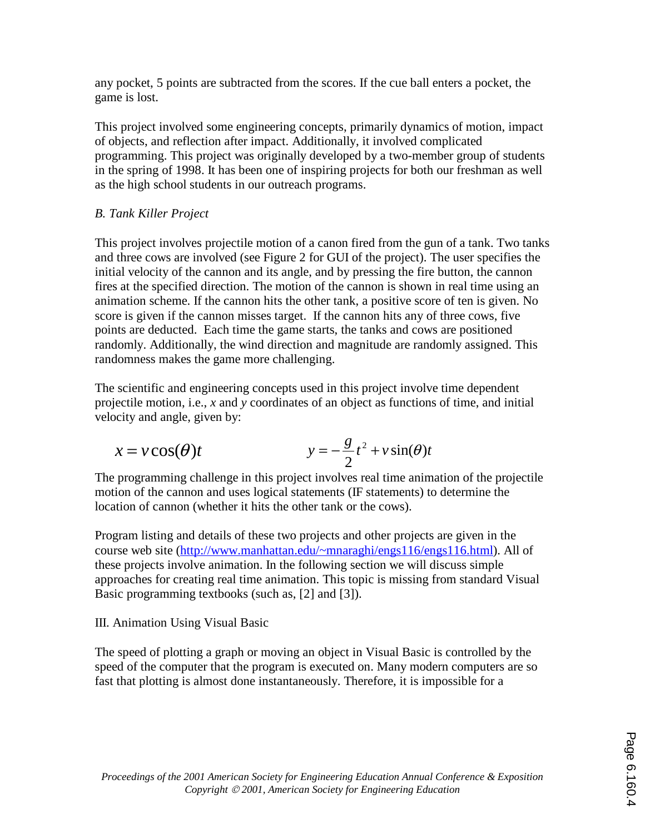any pocket, 5 points are subtracted from the scores. If the cue ball enters a pocket, the game is lost.

This project involved some engineering concepts, primarily dynamics of motion, impact of objects, and reflection after impact. Additionally, it involved complicated programming. This project was originally developed by a two-member group of students in the spring of 1998. It has been one of inspiring projects for both our freshman as well as the high school students in our outreach programs.

## *B. Tank Killer Project*

This project involves projectile motion of a canon fired from the gun of a tank. Two tanks and three cows are involved (see Figure 2 for GUI of the project). The user specifies the initial velocity of the cannon and its angle, and by pressing the fire button, the cannon fires at the specified direction. The motion of the cannon is shown in real time using an animation scheme. If the cannon hits the other tank, a positive score of ten is given. No score is given if the cannon misses target. If the cannon hits any of three cows, five points are deducted. Each time the game starts, the tanks and cows are positioned randomly. Additionally, the wind direction and magnitude are randomly assigned. This randomness makes the game more challenging.

The scientific and engineering concepts used in this project involve time dependent projectile motion, i.e., *x* and *y* coordinates of an object as functions of time, and initial velocity and angle, given by:

$$
x = v \cos(\theta)t \qquad \qquad y = -\frac{g}{2}t^2 + v \sin(\theta)t
$$

The programming challenge in this project involves real time animation of the projectile motion of the cannon and uses logical statements (IF statements) to determine the location of cannon (whether it hits the other tank or the cows).

Program listing and details of these two projects and other projects are given in the course web site (http://www.manhattan.edu/~mnaraghi/engs116/engs116.html). All of these projects involve animation. In the following section we will discuss simple approaches for creating real time animation. This topic is missing from standard Visual Basic programming textbooks (such as, [2] and [3]).

III. Animation Using Visual Basic

The speed of plotting a graph or moving an object in Visual Basic is controlled by the speed of the computer that the program is executed on. Many modern computers are so fast that plotting is almost done instantaneously. Therefore, it is impossible for a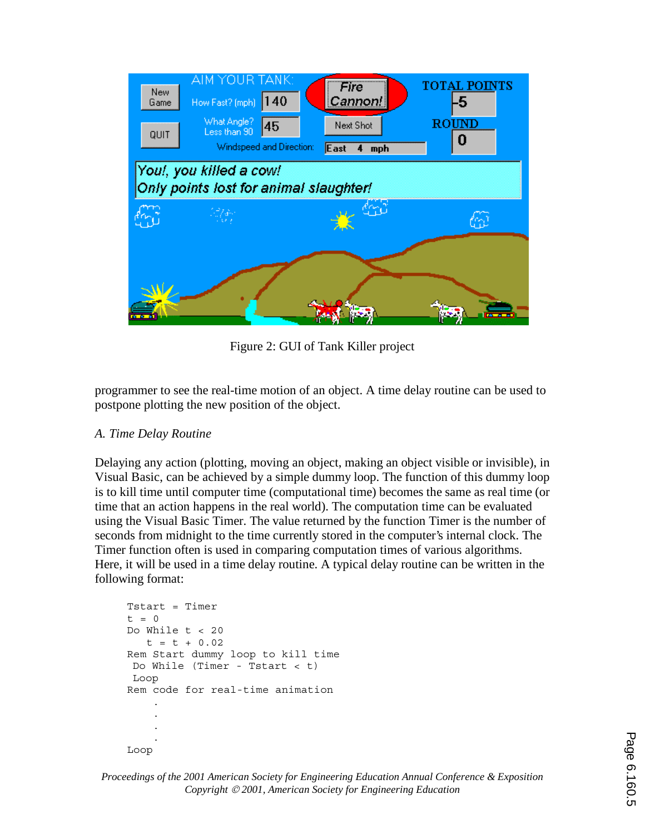

Figure 2: GUI of Tank Killer project

programmer to see the real-time motion of an object. A time delay routine can be used to postpone plotting the new position of the object.

### *A. Time Delay Routine*

Delaying any action (plotting, moving an object, making an object visible or invisible), in Visual Basic, can be achieved by a simple dummy loop. The function of this dummy loop is to kill time until computer time (computational time) becomes the same as real time (or time that an action happens in the real world). The computation time can be evaluated using the Visual Basic Timer. The value returned by the function Timer is the number of seconds from midnight to the time currently stored in the computer's internal clock. The Timer function often is used in comparing computation times of various algorithms. Here, it will be used in a time delay routine. A typical delay routine can be written in the following format:

```
Tstart = Timert = 0 Do While t < 20 
       t = t + 0.02 Rem Start dummy loop to kill time 
      Do While (Timer - Tstart < t) 
      Loop 
     Rem code for real-time animation 
 . 
 . 
 . 
 .
```
Loop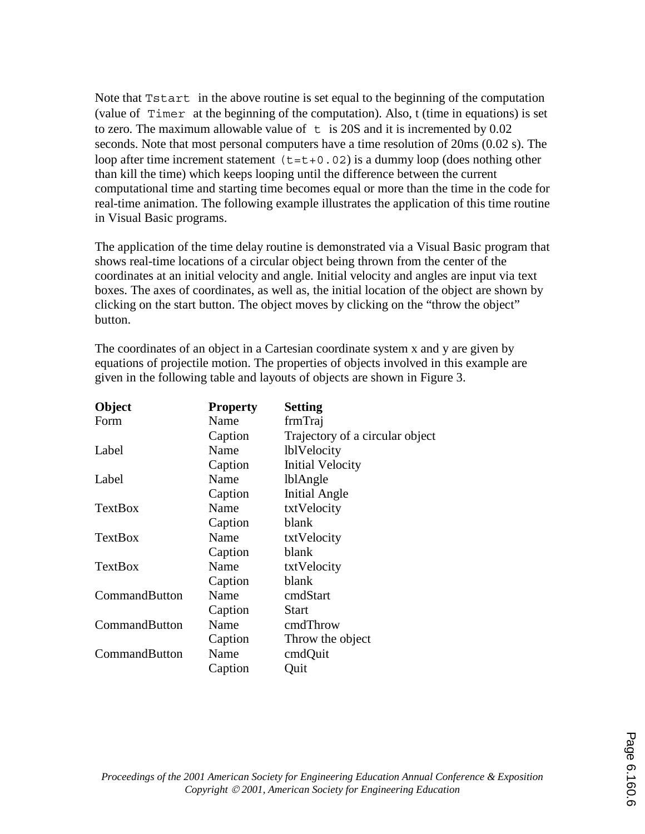Note that Tstart in the above routine is set equal to the beginning of the computation (value of Timer at the beginning of the computation). Also, t (time in equations) is set to zero. The maximum allowable value of  $\pm$  is 20S and it is incremented by 0.02 seconds. Note that most personal computers have a time resolution of 20ms (0.02 s). The loop after time increment statement  $(t=t+0.02)$  is a dummy loop (does nothing other than kill the time) which keeps looping until the difference between the current computational time and starting time becomes equal or more than the time in the code for real-time animation. The following example illustrates the application of this time routine in Visual Basic programs.

The application of the time delay routine is demonstrated via a Visual Basic program that shows real-time locations of a circular object being thrown from the center of the coordinates at an initial velocity and angle. Initial velocity and angles are input via text boxes. The axes of coordinates, as well as, the initial location of the object are shown by clicking on the start button. The object moves by clicking on the "throw the object" button.

| Object         | <b>Property</b> | <b>Setting</b>                  |
|----------------|-----------------|---------------------------------|
| Form           | Name            | frmTraj                         |
|                | Caption         | Trajectory of a circular object |
| Label          | Name            | <b>lblVelocity</b>              |
|                | Caption         | <b>Initial Velocity</b>         |
| Label          | Name            | <b>lblAngle</b>                 |
|                | Caption         | <b>Initial Angle</b>            |
| TextBox        | Name            | txtVelocity                     |
|                | Caption         | blank                           |
| <b>TextBox</b> | Name            | txtVelocity                     |
|                | Caption         | blank                           |
| <b>TextBox</b> | Name            | txtVelocity                     |
|                | Caption         | blank                           |
| CommandButton  | Name            | cmdStart                        |
|                | Caption         | <b>Start</b>                    |
| CommandButton  | Name            | cmdThrow                        |
|                | Caption         | Throw the object                |
| CommandButton  | Name            | cmdQuit                         |
|                | Caption         | Quit                            |

The coordinates of an object in a Cartesian coordinate system x and y are given by equations of projectile motion. The properties of objects involved in this example are given in the following table and layouts of objects are shown in Figure 3.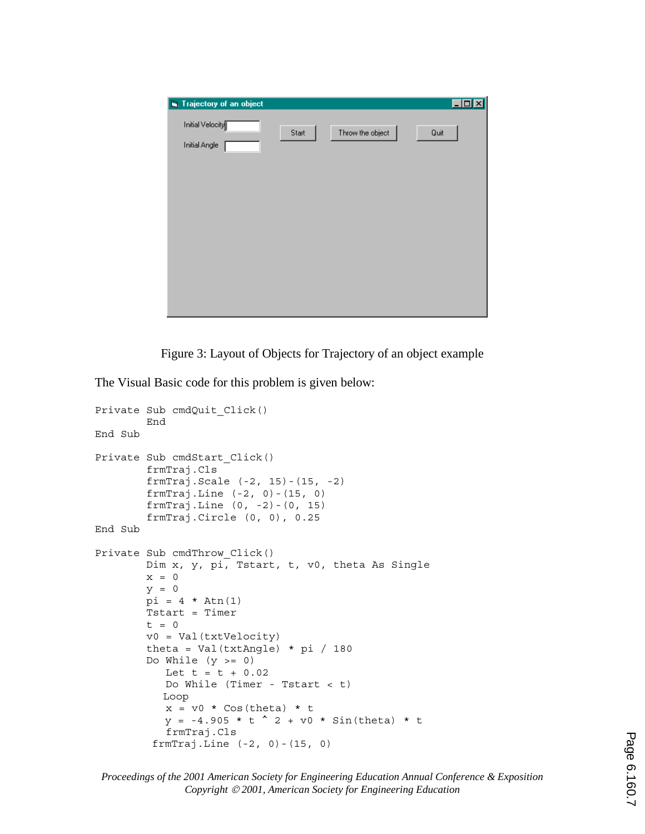

Figure 3: Layout of Objects for Trajectory of an object example

The Visual Basic code for this problem is given below:

```
Private Sub cmdQuit_Click() 
         End 
End Sub 
Private Sub cmdStart_Click() 
         frmTraj.Cls 
         frmTraj.Scale (-2, 15)-(15, -2) 
         frmTraj.Line (-2, 0)-(15, 0) 
         frmTraj.Line (0, -2)-(0, 15) 
         frmTraj.Circle (0, 0), 0.25 
End Sub 
Private Sub cmdThrow_Click() 
         Dim x, y, pi, Tstart, t, v0, theta As Single 
        x = 0y = 0pi = 4 * Atn(1) Tstart = Timer 
        t = 0 v0 = Val(txtVelocity) 
        theta = Val(txtAngle) * pi / 180Do While (y \gt= 0)Let t = t + 0.02 Do While (Timer - Tstart < t)
            Loop 
           x = v0 * Cos(theta) * ty = -4.905 * t^2 + v0 * sin(theta) * t frmTraj.Cls 
          frmTraj.Line (-2, 0)-(15, 0)
```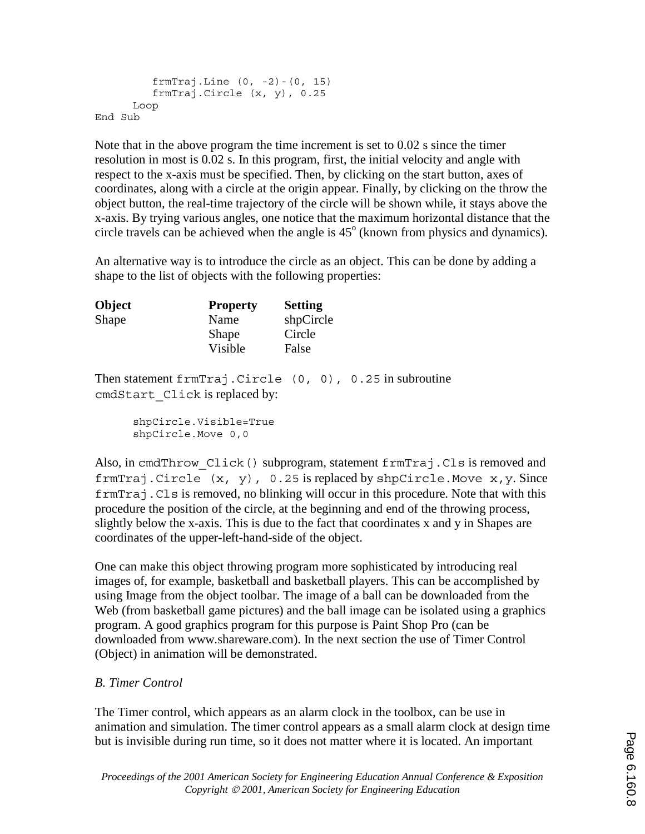```
 frmTraj.Line (0, -2)-(0, 15) 
          frmTraj.Circle (x, y), 0.25 
       Loop 
End Sub
```
Note that in the above program the time increment is set to 0.02 s since the timer resolution in most is 0.02 s. In this program, first, the initial velocity and angle with respect to the x-axis must be specified. Then, by clicking on the start button, axes of coordinates, along with a circle at the origin appear. Finally, by clicking on the throw the object button, the real-time trajectory of the circle will be shown while, it stays above the x-axis. By trying various angles, one notice that the maximum horizontal distance that the circle travels can be achieved when the angle is  $45^{\circ}$  (known from physics and dynamics).

An alternative way is to introduce the circle as an object. This can be done by adding a shape to the list of objects with the following properties:

| <b>Object</b> | <b>Property</b> | <b>Setting</b> |
|---------------|-----------------|----------------|
| Shape         | Name            | shpCircle      |
|               | Shape           | Circle         |
|               | Visible         | False          |

Then statement frmTraj.Circle (0, 0), 0.25 in subroutine cmdStart\_Click is replaced by:

> shpCircle.Visible=True shpCircle.Move 0,0

Also, in cmdThrow Click() subprogram, statement frmTraj.Cls is removed and frmTraj.Circle  $(x, y)$ , 0.25 is replaced by shpCircle.Move  $x, y$ . Since frmTraj.Cls is removed, no blinking will occur in this procedure. Note that with this procedure the position of the circle, at the beginning and end of the throwing process, slightly below the x-axis. This is due to the fact that coordinates x and y in Shapes are coordinates of the upper-left-hand-side of the object.

One can make this object throwing program more sophisticated by introducing real images of, for example, basketball and basketball players. This can be accomplished by using Image from the object toolbar. The image of a ball can be downloaded from the Web (from basketball game pictures) and the ball image can be isolated using a graphics program. A good graphics program for this purpose is Paint Shop Pro (can be downloaded from www.shareware.com). In the next section the use of Timer Control (Object) in animation will be demonstrated.

### *B. Timer Control*

The Timer control, which appears as an alarm clock in the toolbox, can be use in animation and simulation. The timer control appears as a small alarm clock at design time but is invisible during run time, so it does not matter where it is located. An important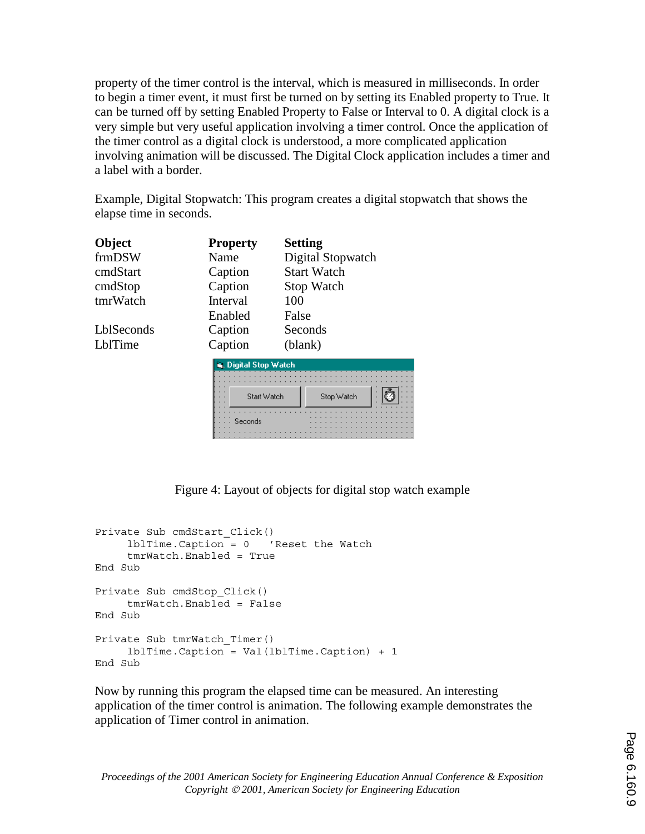property of the timer control is the interval, which is measured in milliseconds. In order to begin a timer event, it must first be turned on by setting its Enabled property to True. It can be turned off by setting Enabled Property to False or Interval to 0. A digital clock is a very simple but very useful application involving a timer control. Once the application of the timer control as a digital clock is understood, a more complicated application involving animation will be discussed. The Digital Clock application includes a timer and a label with a border.

Example, Digital Stopwatch: This program creates a digital stopwatch that shows the elapse time in seconds.

| Object     | <b>Property</b>                 | <b>Setting</b>     |
|------------|---------------------------------|--------------------|
| frmDSW     | Name                            | Digital Stopwatch  |
| cmdStart   | Caption                         | <b>Start Watch</b> |
| cmdStop    | Caption                         | <b>Stop Watch</b>  |
| tmrWatch   | Interval                        | 100                |
|            | Enabled                         | False              |
| LblSeconds | Caption                         | Seconds            |
| LblTime    | Caption                         | (blank)            |
|            | <b>B. Digital Clay Infalab.</b> |                    |

|     | Digital Stop Watch |  |         |  |             |  |  |  |  |  |  |  |  |  |            |  |  |  |  |  |  |  |  |  |
|-----|--------------------|--|---------|--|-------------|--|--|--|--|--|--|--|--|--|------------|--|--|--|--|--|--|--|--|--|
|     |                    |  |         |  |             |  |  |  |  |  |  |  |  |  |            |  |  |  |  |  |  |  |  |  |
|     |                    |  |         |  |             |  |  |  |  |  |  |  |  |  |            |  |  |  |  |  |  |  |  |  |
|     |                    |  |         |  |             |  |  |  |  |  |  |  |  |  |            |  |  |  |  |  |  |  |  |  |
| . . |                    |  |         |  |             |  |  |  |  |  |  |  |  |  |            |  |  |  |  |  |  |  |  |  |
|     |                    |  |         |  |             |  |  |  |  |  |  |  |  |  |            |  |  |  |  |  |  |  |  |  |
|     |                    |  |         |  | Start Watch |  |  |  |  |  |  |  |  |  | Stop Watch |  |  |  |  |  |  |  |  |  |
|     |                    |  |         |  |             |  |  |  |  |  |  |  |  |  |            |  |  |  |  |  |  |  |  |  |
|     |                    |  |         |  |             |  |  |  |  |  |  |  |  |  |            |  |  |  |  |  |  |  |  |  |
|     |                    |  |         |  |             |  |  |  |  |  |  |  |  |  |            |  |  |  |  |  |  |  |  |  |
|     |                    |  |         |  |             |  |  |  |  |  |  |  |  |  |            |  |  |  |  |  |  |  |  |  |
|     |                    |  |         |  |             |  |  |  |  |  |  |  |  |  |            |  |  |  |  |  |  |  |  |  |
|     |                    |  |         |  |             |  |  |  |  |  |  |  |  |  |            |  |  |  |  |  |  |  |  |  |
|     |                    |  | Seconds |  |             |  |  |  |  |  |  |  |  |  |            |  |  |  |  |  |  |  |  |  |
|     |                    |  |         |  |             |  |  |  |  |  |  |  |  |  |            |  |  |  |  |  |  |  |  |  |
|     |                    |  |         |  |             |  |  |  |  |  |  |  |  |  |            |  |  |  |  |  |  |  |  |  |

Figure 4: Layout of objects for digital stop watch example

```
Private Sub cmdStart_Click() 
      lblTime.Caption = 0 'Reset the Watch 
      tmrWatch.Enabled = True 
End Sub 
Private Sub cmdStop_Click() 
      tmrWatch.Enabled = False 
End Sub 
Private Sub tmrWatch_Timer() 
      lblTime.Caption = Val(lblTime.Caption) + 1 
End Sub
```
Now by running this program the elapsed time can be measured. An interesting application of the timer control is animation. The following example demonstrates the application of Timer control in animation.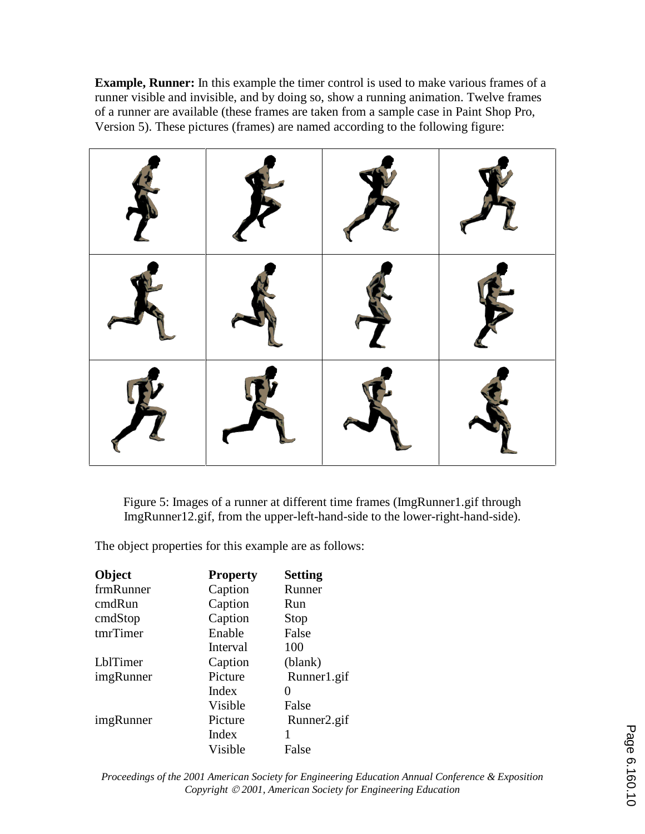**Example, Runner:** In this example the timer control is used to make various frames of a runner visible and invisible, and by doing so, show a running animation. Twelve frames of a runner are available (these frames are taken from a sample case in Paint Shop Pro, Version 5). These pictures (frames) are named according to the following figure:



Figure 5: Images of a runner at different time frames (ImgRunner1.gif through ImgRunner12.gif, from the upper-left-hand-side to the lower-right-hand-side).

The object properties for this example are as follows:

| Object    | <b>Property</b> | <b>Setting</b> |
|-----------|-----------------|----------------|
| frmRunner | Caption         | Runner         |
| cmdRun    | Caption         | Run            |
| cmdStop   | Caption         | Stop           |
| tmrTimer  | Enable          | False          |
|           | Interval        | 100            |
| LblTimer  | Caption         | (blank)        |
| imgRunner | Picture         | Runner1.gif    |
|           | Index           | 0              |
|           | Visible         | False          |
| imgRunner | Picture         | Runner2.gif    |
|           | Index           |                |
|           | Visible         | False          |

*Proceedings of the 2001 American Society for Engineering Education Annual Conference & Exposition Copyright 2001, American Society for Engineering Education*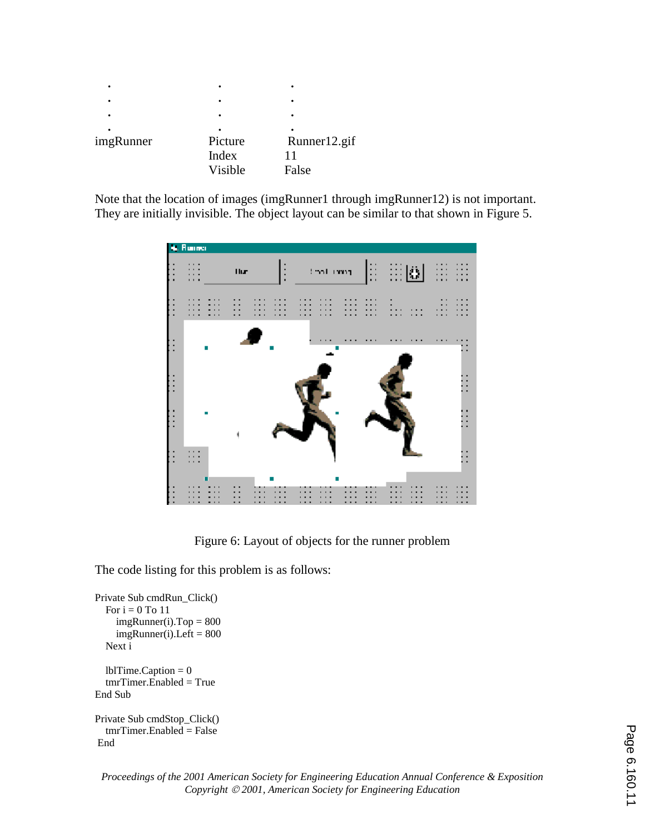| ٠         | ٠                           | ٠                     |
|-----------|-----------------------------|-----------------------|
|           | ٠                           | ٠                     |
| imgRunner | Picture<br>Index<br>Visible | Runner12.gif<br>False |

Note that the location of images (imgRunner1 through imgRunner12) is not important. They are initially invisible. The object layout can be similar to that shown in Figure 5.



Figure 6: Layout of objects for the runner problem

The code listing for this problem is as follows:

```
Private Sub cmdRun_Click() 
  For i = 0 To 11
    imgRunner(i).Top = 800imgRunner(i).Left = 800 Next i 
  lbTime.Caption = 0
  tmrTime. Enabled = True
End Sub 
Private Sub cmdStop_Click() 
   tmrTimer.Enabled = False 
 End
```
*Proceedings of the 2001 American Society for Engineering Education Annual Conference & Exposition Copyright 2001, American Society for Engineering Education*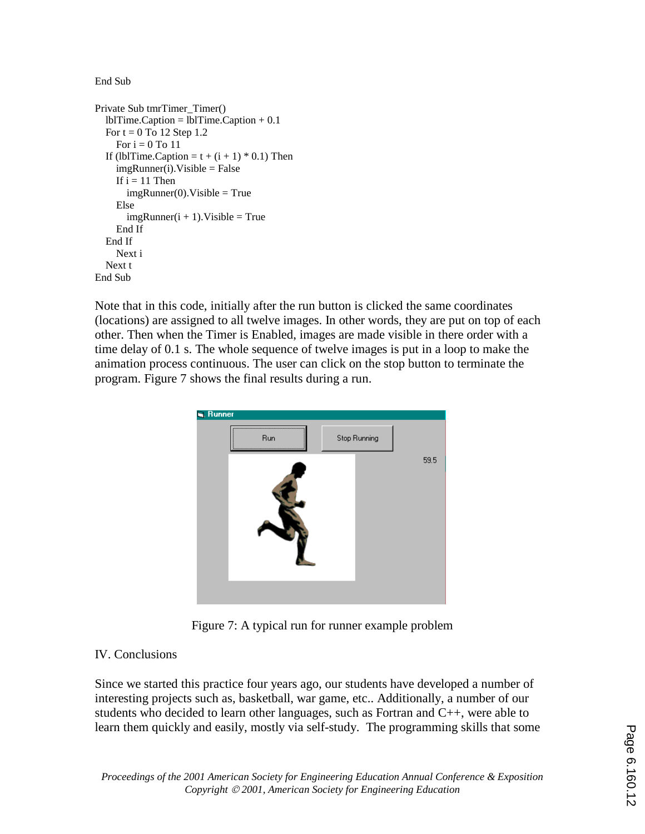End Sub

```
Private Sub tmrTimer_Timer() 
   lblTime.Caption = lblTime.Caption + 0.1 
  For t = 0 To 12 Step 1.2
    For i = 0 To 11
  If (lblTime.Caption = t + (i + 1) * 0.1) Then
    imgRunner(i).Visible = FalseIf i = 11 Then
       imgRunner(0). Visible = True
     Else 
       imgRunner(i + 1). Visible = True
      End If 
   End If 
     Next i 
   Next t 
End Sub
```
Note that in this code, initially after the run button is clicked the same coordinates (locations) are assigned to all twelve images. In other words, they are put on top of each other. Then when the Timer is Enabled, images are made visible in there order with a time delay of 0.1 s. The whole sequence of twelve images is put in a loop to make the animation process continuous. The user can click on the stop button to terminate the program. Figure 7 shows the final results during a run.



Figure 7: A typical run for runner example problem

## IV. Conclusions

Since we started this practice four years ago, our students have developed a number of interesting projects such as, basketball, war game, etc.. Additionally, a number of our students who decided to learn other languages, such as Fortran and C++, were able to learn them quickly and easily, mostly via self-study. The programming skills that some